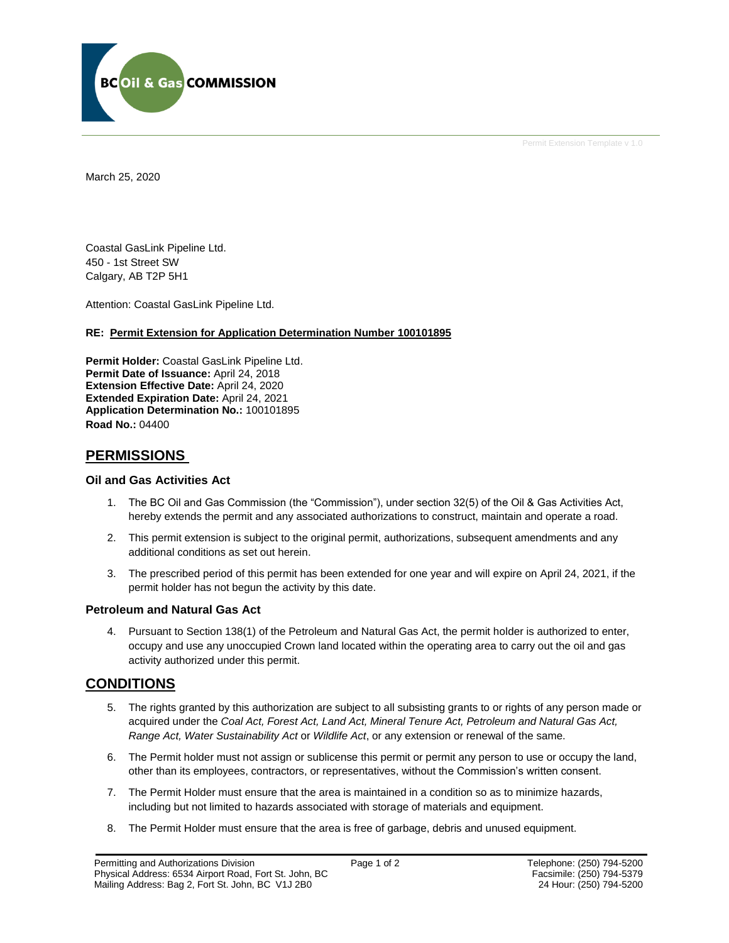

Permit Extension Template v 1.0

March 25, 2020

Coastal GasLink Pipeline Ltd. 450 - 1st Street SW Calgary, AB T2P 5H1

Attention: Coastal GasLink Pipeline Ltd.

#### **RE: Permit Extension for Application Determination Number 100101895**

**Permit Holder:** Coastal GasLink Pipeline Ltd. **Permit Date of Issuance:** April 24, 2018 **Extension Effective Date:** April 24, 2020 **Extended Expiration Date:** April 24, 2021 **Application Determination No.:** 100101895 **Road No.:** 04400

## **PERMISSIONS**

#### **Oil and Gas Activities Act**

- 1. The BC Oil and Gas Commission (the "Commission"), under section 32(5) of the Oil & Gas Activities Act, hereby extends the permit and any associated authorizations to construct, maintain and operate a road.
- 2. This permit extension is subject to the original permit, authorizations, subsequent amendments and any additional conditions as set out herein.
- 3. The prescribed period of this permit has been extended for one year and will expire on April 24, 2021, if the permit holder has not begun the activity by this date.

#### **Petroleum and Natural Gas Act**

4. Pursuant to Section 138(1) of the Petroleum and Natural Gas Act, the permit holder is authorized to enter, occupy and use any unoccupied Crown land located within the operating area to carry out the oil and gas activity authorized under this permit.

## **CONDITIONS**

- 5. The rights granted by this authorization are subject to all subsisting grants to or rights of any person made or acquired under the *Coal Act, Forest Act, Land Act, Mineral Tenure Act, Petroleum and Natural Gas Act, Range Act, Water Sustainability Act* or *Wildlife Act*, or any extension or renewal of the same.
- 6. The Permit holder must not assign or sublicense this permit or permit any person to use or occupy the land, other than its employees, contractors, or representatives, without the Commission's written consent.
- 7. The Permit Holder must ensure that the area is maintained in a condition so as to minimize hazards, including but not limited to hazards associated with storage of materials and equipment.
- 8. The Permit Holder must ensure that the area is free of garbage, debris and unused equipment.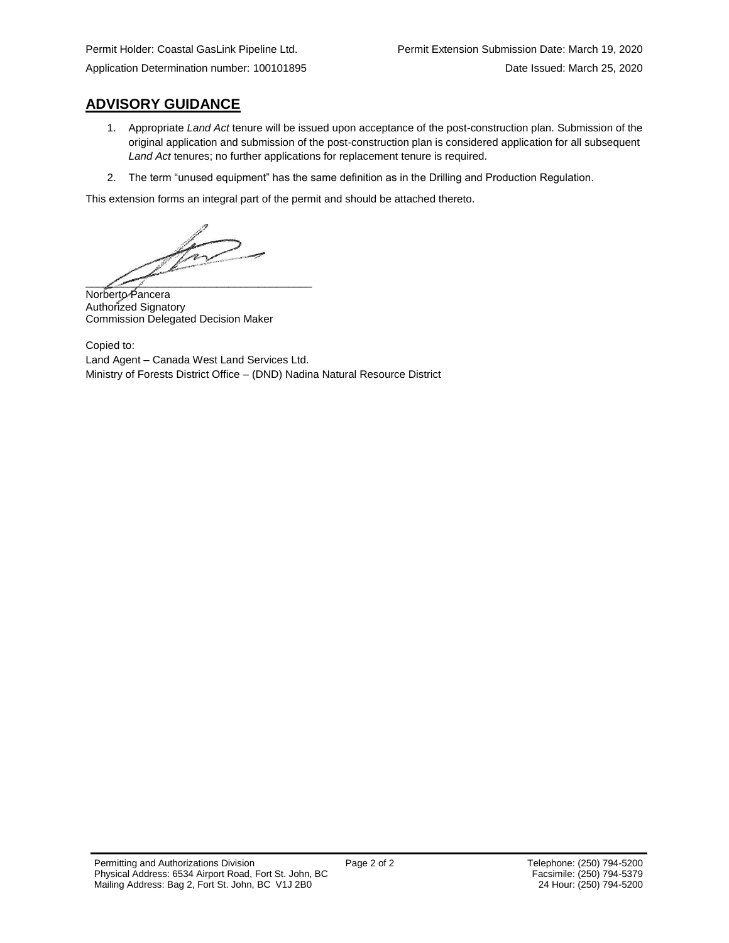## **ADVISORY GUIDANCE**

- 1. Appropriate *Land Act* tenure will be issued upon acceptance of the post-construction plan. Submission of the original application and submission of the post-construction plan is considered application for all subsequent *Land Act* tenures; no further applications for replacement tenure is required.
- 2. The term "unused equipment" has the same definition as in the Drilling and Production Regulation.

This extension forms an integral part of the permit and should be attached thereto.

Viv  $\sqrt{2}$ 

Norberto Pancera Authorized Signatory Commission Delegated Decision Maker

Copied to: Land Agent – Canada West Land Services Ltd. Ministry of Forests District Office – (DND) Nadina Natural Resource District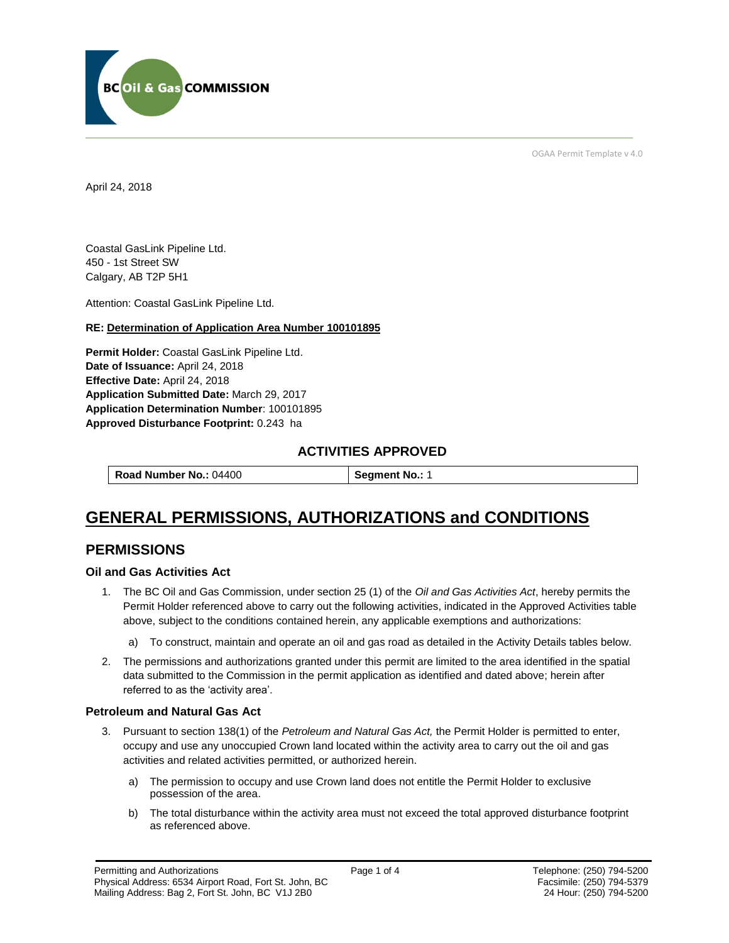

OGAA Permit Template v 4.0

April 24, 2018

Coastal GasLink Pipeline Ltd. 450 - 1st Street SW Calgary, AB T2P 5H1

Attention: Coastal GasLink Pipeline Ltd.

#### **RE: Determination of Application Area Number 100101895**

**Permit Holder:** Coastal GasLink Pipeline Ltd. **Date of Issuance:** April 24, 2018 **Effective Date:** April 24, 2018 **Application Submitted Date:** March 29, 2017 **Application Determination Number**: 100101895 **Approved Disturbance Footprint:** 0.243 ha

## **ACTIVITIES APPROVED**

**Road Number No.:** 04400 **Segment No.: 1** 

# **GENERAL PERMISSIONS, AUTHORIZATIONS and CONDITIONS**

## **PERMISSIONS**

#### **Oil and Gas Activities Act**

- 1. The BC Oil and Gas Commission, under section 25 (1) of the *Oil and Gas Activities Act*, hereby permits the Permit Holder referenced above to carry out the following activities, indicated in the Approved Activities table above, subject to the conditions contained herein, any applicable exemptions and authorizations:
	- a) To construct, maintain and operate an oil and gas road as detailed in the Activity Details tables below.
- 2. The permissions and authorizations granted under this permit are limited to the area identified in the spatial data submitted to the Commission in the permit application as identified and dated above; herein after referred to as the 'activity area'.

#### **Petroleum and Natural Gas Act**

- 3. Pursuant to section 138(1) of the *Petroleum and Natural Gas Act,* the Permit Holder is permitted to enter, occupy and use any unoccupied Crown land located within the activity area to carry out the oil and gas activities and related activities permitted, or authorized herein.
	- a) The permission to occupy and use Crown land does not entitle the Permit Holder to exclusive possession of the area.
	- b) The total disturbance within the activity area must not exceed the total approved disturbance footprint as referenced above.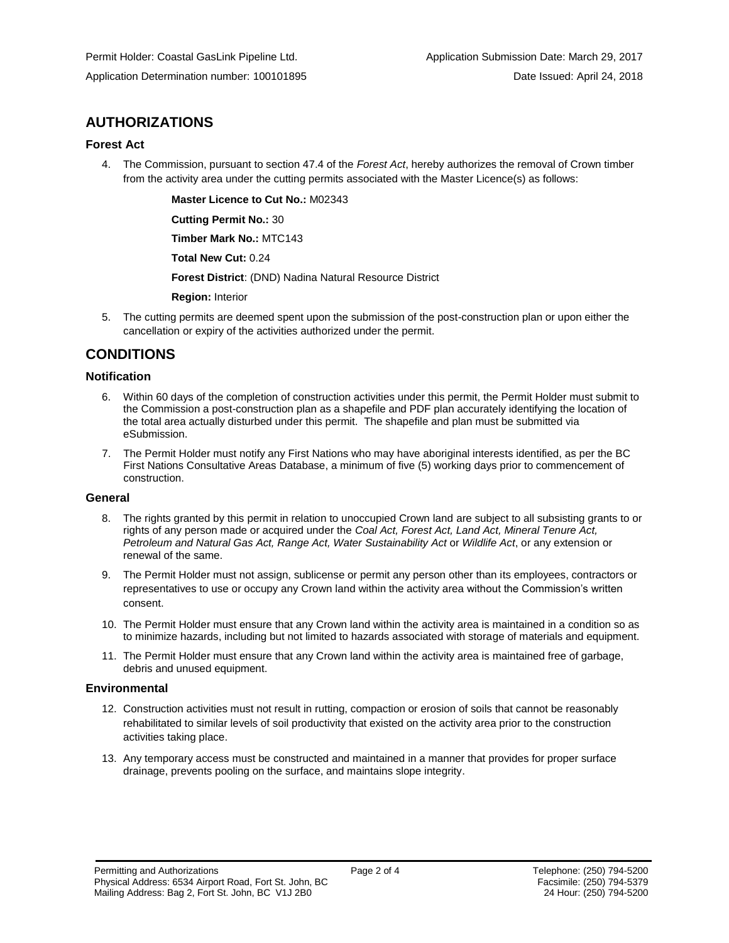## **AUTHORIZATIONS**

#### **Forest Act**

4. The Commission, pursuant to section 47.4 of the *Forest Act*, hereby authorizes the removal of Crown timber from the activity area under the cutting permits associated with the Master Licence(s) as follows:

> **Master Licence to Cut No.:** M02343 **Cutting Permit No.:** 30

**Timber Mark No.:** MTC143

**Total New Cut:** 0.24

**Forest District**: (DND) Nadina Natural Resource District

**Region:** Interior

5. The cutting permits are deemed spent upon the submission of the post-construction plan or upon either the cancellation or expiry of the activities authorized under the permit.

## **CONDITIONS**

#### **Notification**

- 6. Within 60 days of the completion of construction activities under this permit, the Permit Holder must submit to the Commission a post-construction plan as a shapefile and PDF plan accurately identifying the location of the total area actually disturbed under this permit. The shapefile and plan must be submitted via eSubmission.
- 7. The Permit Holder must notify any First Nations who may have aboriginal interests identified, as per the BC First Nations Consultative Areas Database, a minimum of five (5) working days prior to commencement of construction.

#### **General**

- 8. The rights granted by this permit in relation to unoccupied Crown land are subject to all subsisting grants to or rights of any person made or acquired under the *Coal Act, Forest Act, Land Act, Mineral Tenure Act, Petroleum and Natural Gas Act, Range Act, Water Sustainability Act* or *Wildlife Act*, or any extension or renewal of the same.
- 9. The Permit Holder must not assign, sublicense or permit any person other than its employees, contractors or representatives to use or occupy any Crown land within the activity area without the Commission's written consent.
- 10. The Permit Holder must ensure that any Crown land within the activity area is maintained in a condition so as to minimize hazards, including but not limited to hazards associated with storage of materials and equipment.
- 11. The Permit Holder must ensure that any Crown land within the activity area is maintained free of garbage, debris and unused equipment.

#### **Environmental**

- 12. Construction activities must not result in rutting, compaction or erosion of soils that cannot be reasonably rehabilitated to similar levels of soil productivity that existed on the activity area prior to the construction activities taking place.
- 13. Any temporary access must be constructed and maintained in a manner that provides for proper surface drainage, prevents pooling on the surface, and maintains slope integrity.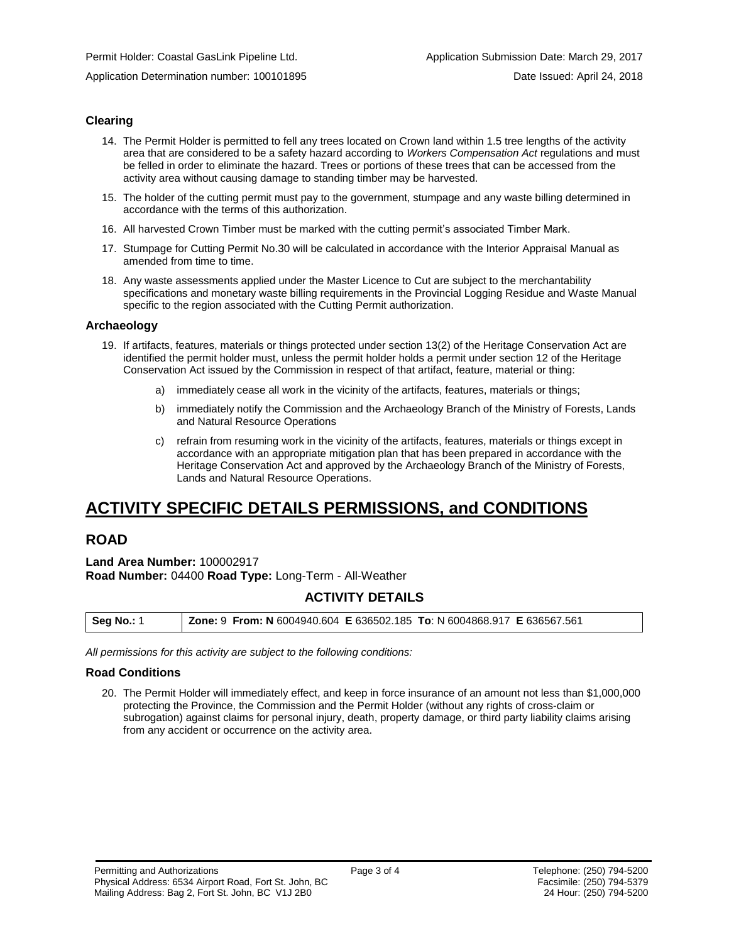Application Determination number: 100101895 Date Issued: April 24, 2018

#### **Clearing**

- 14. The Permit Holder is permitted to fell any trees located on Crown land within 1.5 tree lengths of the activity area that are considered to be a safety hazard according to *Workers Compensation Act* regulations and must be felled in order to eliminate the hazard. Trees or portions of these trees that can be accessed from the activity area without causing damage to standing timber may be harvested.
- 15. The holder of the cutting permit must pay to the government, stumpage and any waste billing determined in accordance with the terms of this authorization.
- 16. All harvested Crown Timber must be marked with the cutting permit's associated Timber Mark.
- 17. Stumpage for Cutting Permit No.30 will be calculated in accordance with the Interior Appraisal Manual as amended from time to time.
- 18. Any waste assessments applied under the Master Licence to Cut are subject to the merchantability specifications and monetary waste billing requirements in the Provincial Logging Residue and Waste Manual specific to the region associated with the Cutting Permit authorization.

#### **Archaeology**

- 19. If artifacts, features, materials or things protected under section 13(2) of the Heritage Conservation Act are identified the permit holder must, unless the permit holder holds a permit under section 12 of the Heritage Conservation Act issued by the Commission in respect of that artifact, feature, material or thing:
	- a) immediately cease all work in the vicinity of the artifacts, features, materials or things;
	- b) immediately notify the Commission and the Archaeology Branch of the Ministry of Forests, Lands and Natural Resource Operations
	- c) refrain from resuming work in the vicinity of the artifacts, features, materials or things except in accordance with an appropriate mitigation plan that has been prepared in accordance with the Heritage Conservation Act and approved by the Archaeology Branch of the Ministry of Forests, Lands and Natural Resource Operations.

## **ACTIVITY SPECIFIC DETAILS PERMISSIONS, and CONDITIONS**

## **ROAD**

**Land Area Number:** 100002917 **Road Number:** 04400 **Road Type:** Long-Term - All-Weather

## **ACTIVITY DETAILS**

| <b>Seg No.: 1</b> |  |
|-------------------|--|
|-------------------|--|

*All permissions for this activity are subject to the following conditions:*

#### **Road Conditions**

20. The Permit Holder will immediately effect, and keep in force insurance of an amount not less than \$1,000,000 protecting the Province, the Commission and the Permit Holder (without any rights of cross-claim or subrogation) against claims for personal injury, death, property damage, or third party liability claims arising from any accident or occurrence on the activity area.